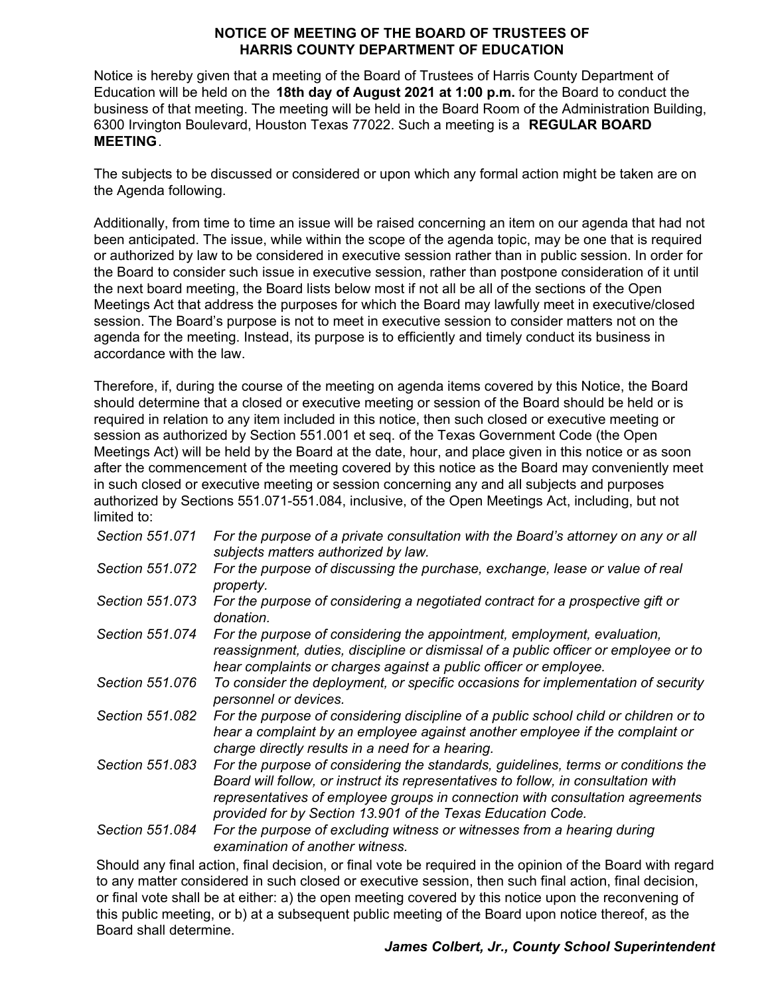#### **NOTICE OF MEETING OF THE BOARD OF TRUSTEES OF HARRIS COUNTY DEPARTMENT OF EDUCATION**

Notice is hereby given that a meeting of the Board of Trustees of Harris County Department of Education will be held on the **18th day of August 2021 at 1:00 p.m.** for the Board to conduct the business of that meeting. The meeting will be held in the Board Room of the Administration Building, 6300 Irvington Boulevard, Houston Texas 77022. Such a meeting is a **REGULAR BOARD MEETING**.

The subjects to be discussed or considered or upon which any formal action might be taken are on the Agenda following.

Additionally, from time to time an issue will be raised concerning an item on our agenda that had not been anticipated. The issue, while within the scope of the agenda topic, may be one that is required or authorized by law to be considered in executive session rather than in public session. In order for the Board to consider such issue in executive session, rather than postpone consideration of it until the next board meeting, the Board lists below most if not all be all of the sections of the Open Meetings Act that address the purposes for which the Board may lawfully meet in executive/closed session. The Board's purpose is not to meet in executive session to consider matters not on the agenda for the meeting. Instead, its purpose is to efficiently and timely conduct its business in accordance with the law.

Therefore, if, during the course of the meeting on agenda items covered by this Notice, the Board should determine that a closed or executive meeting or session of the Board should be held or is required in relation to any item included in this notice, then such closed or executive meeting or session as authorized by Section 551.001 et seq. of the Texas Government Code (the Open Meetings Act) will be held by the Board at the date, hour, and place given in this notice or as soon after the commencement of the meeting covered by this notice as the Board may conveniently meet in such closed or executive meeting or session concerning any and all subjects and purposes authorized by Sections 551.071-551.084, inclusive, of the Open Meetings Act, including, but not limited to:

| Section 551.071 | For the purpose of a private consultation with the Board's attorney on any or all<br>subjects matters authorized by law.                                                                                                                                                                                                |
|-----------------|-------------------------------------------------------------------------------------------------------------------------------------------------------------------------------------------------------------------------------------------------------------------------------------------------------------------------|
| Section 551.072 | For the purpose of discussing the purchase, exchange, lease or value of real<br>property.                                                                                                                                                                                                                               |
| Section 551,073 | For the purpose of considering a negotiated contract for a prospective gift or<br>donation.                                                                                                                                                                                                                             |
| Section 551.074 | For the purpose of considering the appointment, employment, evaluation,<br>reassignment, duties, discipline or dismissal of a public officer or employee or to<br>hear complaints or charges against a public officer or employee.                                                                                      |
| Section 551,076 | To consider the deployment, or specific occasions for implementation of security<br>personnel or devices.                                                                                                                                                                                                               |
| Section 551.082 | For the purpose of considering discipline of a public school child or children or to<br>hear a complaint by an employee against another employee if the complaint or<br>charge directly results in a need for a hearing.                                                                                                |
| Section 551,083 | For the purpose of considering the standards, guidelines, terms or conditions the<br>Board will follow, or instruct its representatives to follow, in consultation with<br>representatives of employee groups in connection with consultation agreements<br>provided for by Section 13.901 of the Texas Education Code. |
| Section 551.084 | For the purpose of excluding witness or witnesses from a hearing during<br>examination of another witness.                                                                                                                                                                                                              |

 or final vote shall be at either: a) the open meeting covered by this notice upon the reconvening of this public meeting, or b) at a subsequent public meeting of the Board upon notice thereof, as the Should any final action, final decision, or final vote be required in the opinion of the Board with regard to any matter considered in such closed or executive session, then such final action, final decision, Board shall determine.

# *James Colbert, Jr., County School Superintendent*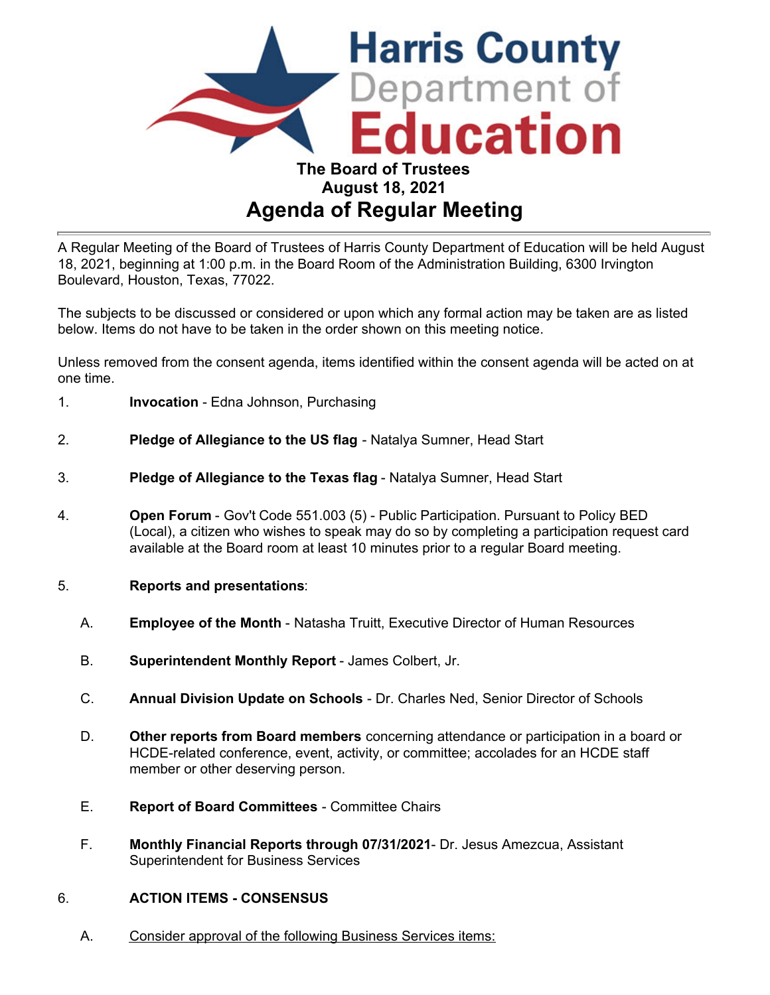

A Regular Meeting of the Board of Trustees of Harris County Department of Education will be held August 18, 2021, beginning at 1:00 p.m. in the Board Room of the Administration Building, 6300 Irvington Boulevard, Houston, Texas, 77022.

The subjects to be discussed or considered or upon which any formal action may be taken are as listed below. Items do not have to be taken in the order shown on this meeting notice.

Unless removed from the consent agenda, items identified within the consent agenda will be acted on at one time.

- 1. **Invocation** Edna Johnson, Purchasing
- 2. **Pledge of Allegiance to the US flag** Natalya Sumner, Head Start
- 3. **Pledge of Allegiance to the Texas flag** Natalya Sumner, Head Start
- 4. **Open Forum**  Gov't Code 551.003 (5) Public Participation. Pursuant to Policy BED (Local), a citizen who wishes to speak may do so by completing a participation request card available at the Board room at least 10 minutes prior to a regular Board meeting.
- 5. **Reports and presentations**:
	- A. **Employee of the Month**  Natasha Truitt, Executive Director of Human Resources
	- B. **Superintendent Monthly Report** James Colbert, Jr.
	- C. **Annual Division Update on Schools** Dr. Charles Ned, Senior Director of Schools
	- D. **Other reports from Board members** concerning attendance or participation in a board or HCDE-related conference, event, activity, or committee; accolades for an HCDE staff member or other deserving person.
	- E. **Report of Board Committees** Committee Chairs
	- F. **Monthly Financial Reports through 07/31/2021** Dr. Jesus Amezcua, Assistant Superintendent for Business Services

#### 6. **ACTION ITEMS - CONSENSUS**

A. Consider approval of the following Business Services items: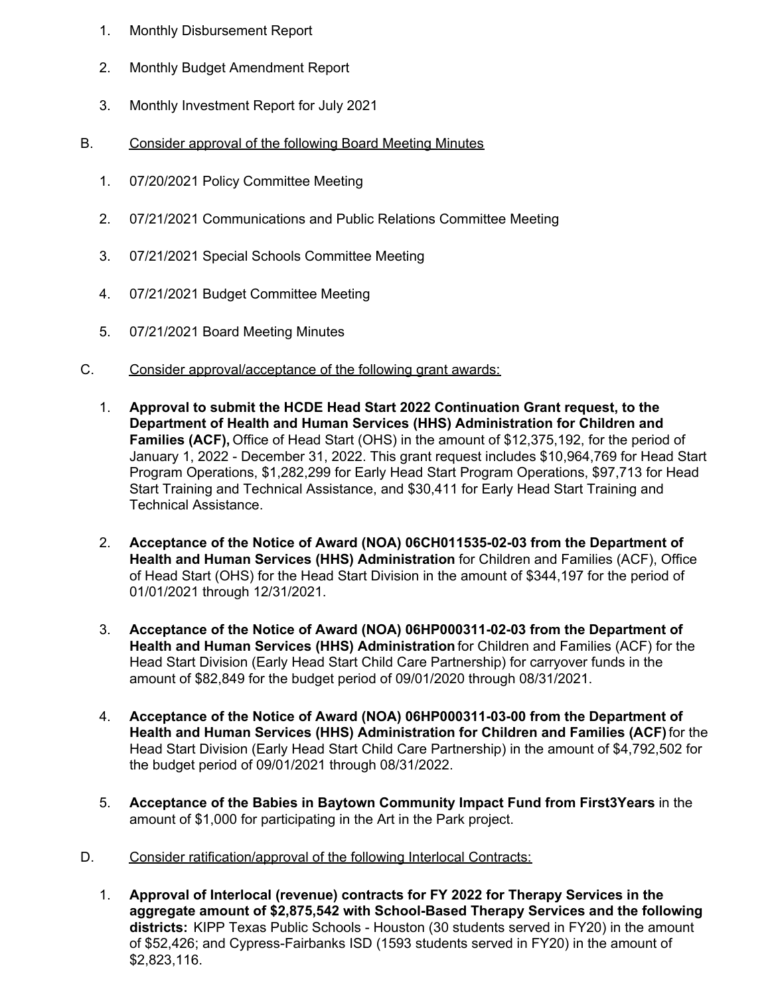- 1. Monthly Disbursement Report
- 2. Monthly Budget Amendment Report
- 3. Monthly Investment Report for July 2021
- B. Consider approval of the following Board Meeting Minutes
	- 1. 07/20/2021 Policy Committee Meeting
	- 2. 07/21/2021 Communications and Public Relations Committee Meeting
	- 3. 07/21/2021 Special Schools Committee Meeting
	- 4. 07/21/2021 Budget Committee Meeting
	- 5. 07/21/2021 Board Meeting Minutes
- C. Consider approval/acceptance of the following grant awards:
	- 1. **Approval to submit the HCDE Head Start 2022 Continuation Grant request, to the Department of Health and Human Services (HHS) Administration for Children and Families (ACF),** Office of Head Start (OHS) in the amount of \$12,375,192, for the period of January 1, 2022 - December 31, 2022. This grant request includes \$10,964,769 for Head Start Program Operations, \$1,282,299 for Early Head Start Program Operations, \$97,713 for Head Start Training and Technical Assistance, and \$30,411 for Early Head Start Training and Technical Assistance.
	- 2. **Acceptance of the Notice of Award (NOA) 06CH011535-02-03 from the Department of Health and Human Services (HHS) Administration** for Children and Families (ACF), Office of Head Start (OHS) for the Head Start Division in the amount of \$344,197 for the period of 01/01/2021 through 12/31/2021.
	- 3. **Acceptance of the Notice of Award (NOA) 06HP000311-02-03 from the Department of Health and Human Services (HHS) Administration** for Children and Families (ACF) for the Head Start Division (Early Head Start Child Care Partnership) for carryover funds in the amount of \$82,849 for the budget period of 09/01/2020 through 08/31/2021.
	- 4. **Acceptance of the Notice of Award (NOA) 06HP000311-03-00 from the Department of Health and Human Services (HHS) Administration for Children and Families (ACF)** for the Head Start Division (Early Head Start Child Care Partnership) in the amount of \$4,792,502 for the budget period of 09/01/2021 through 08/31/2022.
	- 5. **Acceptance of the Babies in Baytown Community Impact Fund from First3Years** in the amount of \$1,000 for participating in the Art in the Park project.
- D. Consider ratification/approval of the following Interlocal Contracts:
	- 1. **Approval of Interlocal (revenue) contracts for FY 2022 for Therapy Services in the aggregate amount of \$2,875,542 with School-Based Therapy Services and the following districts:** KIPP Texas Public Schools - Houston (30 students served in FY20) in the amount of \$52,426; and Cypress-Fairbanks ISD (1593 students served in FY20) in the amount of \$2,823,116.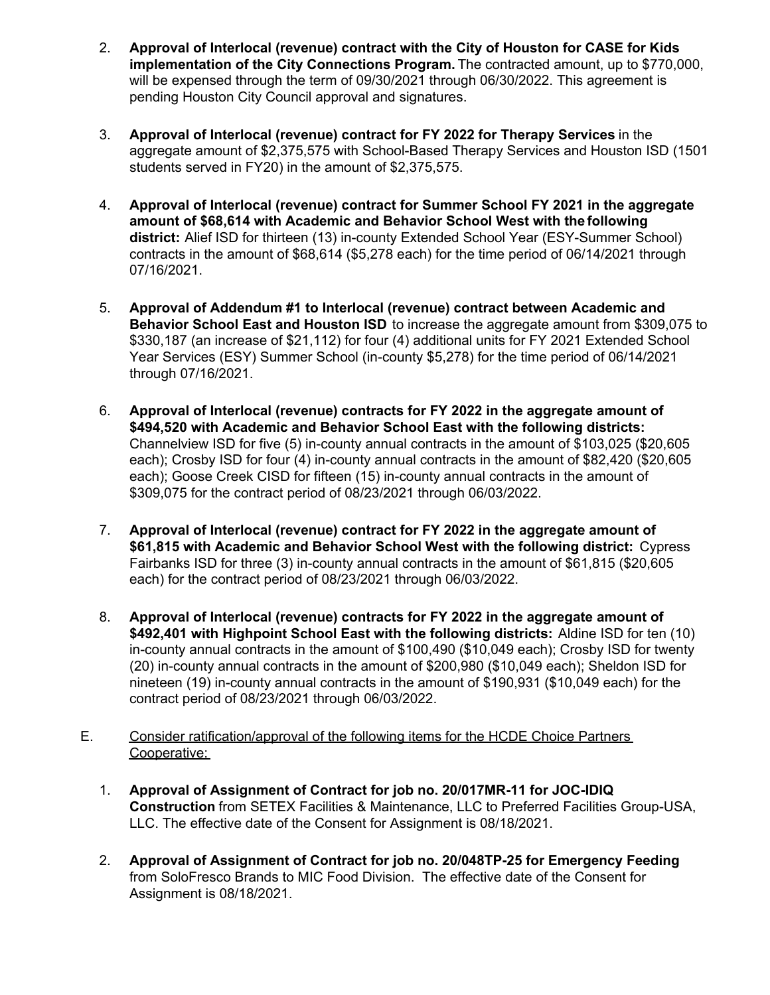- 2. **Approval of Interlocal (revenue) contract with the City of Houston for CASE for Kids implementation of the City Connections Program.** The contracted amount, up to \$770,000, will be expensed through the term of 09/30/2021 through 06/30/2022. This agreement is pending Houston City Council approval and signatures.
- 3. **Approval of Interlocal (revenue) contract for FY 2022 for Therapy Services** in the aggregate amount of \$2,375,575 with School-Based Therapy Services and Houston ISD (1501 students served in FY20) in the amount of \$2,375,575.
- 4. **Approval of Interlocal (revenue) contract for Summer School FY 2021 in the aggregate amount of \$68,614 with Academic and Behavior School West with the following district:** Alief ISD for thirteen (13) in-county Extended School Year (ESY-Summer School) contracts in the amount of \$68,614 (\$5,278 each) for the time period of 06/14/2021 through 07/16/2021.
- 5. **Approval of Addendum #1 to Interlocal (revenue) contract between Academic and Behavior School East and Houston ISD** to increase the aggregate amount from \$309,075 to \$330,187 (an increase of \$21,112) for four (4) additional units for FY 2021 Extended School Year Services (ESY) Summer School (in-county \$5,278) for the time period of 06/14/2021 through 07/16/2021.
- 6. **Approval of Interlocal (revenue) contracts for FY 2022 in the aggregate amount of \$494,520 with Academic and Behavior School East with the following districts:** Channelview ISD for five (5) in-county annual contracts in the amount of \$103,025 (\$20,605 each); Crosby ISD for four (4) in-county annual contracts in the amount of \$82,420 (\$20,605 each); Goose Creek CISD for fifteen (15) in-county annual contracts in the amount of \$309,075 for the contract period of 08/23/2021 through 06/03/2022.
- 7. **Approval of Interlocal (revenue) contract for FY 2022 in the aggregate amount of \$61,815 with Academic and Behavior School West with the following district:** Cypress Fairbanks ISD for three (3) in-county annual contracts in the amount of \$61,815 (\$20,605 each) for the contract period of 08/23/2021 through 06/03/2022.
- 8. **Approval of Interlocal (revenue) contracts for FY 2022 in the aggregate amount of \$492,401 with Highpoint School East with the following districts:** Aldine ISD for ten (10) in-county annual contracts in the amount of \$100,490 (\$10,049 each); Crosby ISD for twenty (20) in-county annual contracts in the amount of \$200,980 (\$10,049 each); Sheldon ISD for nineteen (19) in-county annual contracts in the amount of \$190,931 (\$10,049 each) for the contract period of 08/23/2021 through 06/03/2022.
- E. Consider ratification/approval of the following items for the HCDE Choice Partners Cooperative:
	- 1. **Approval of Assignment of Contract for job no. 20/017MR-11 for JOC-IDIQ Construction** from SETEX Facilities & Maintenance, LLC to Preferred Facilities Group-USA, LLC. The effective date of the Consent for Assignment is 08/18/2021.
	- 2. **Approval of Assignment of Contract for job no. 20/048TP-25 for Emergency Feeding**  from SoloFresco Brands to MIC Food Division. The effective date of the Consent for Assignment is 08/18/2021.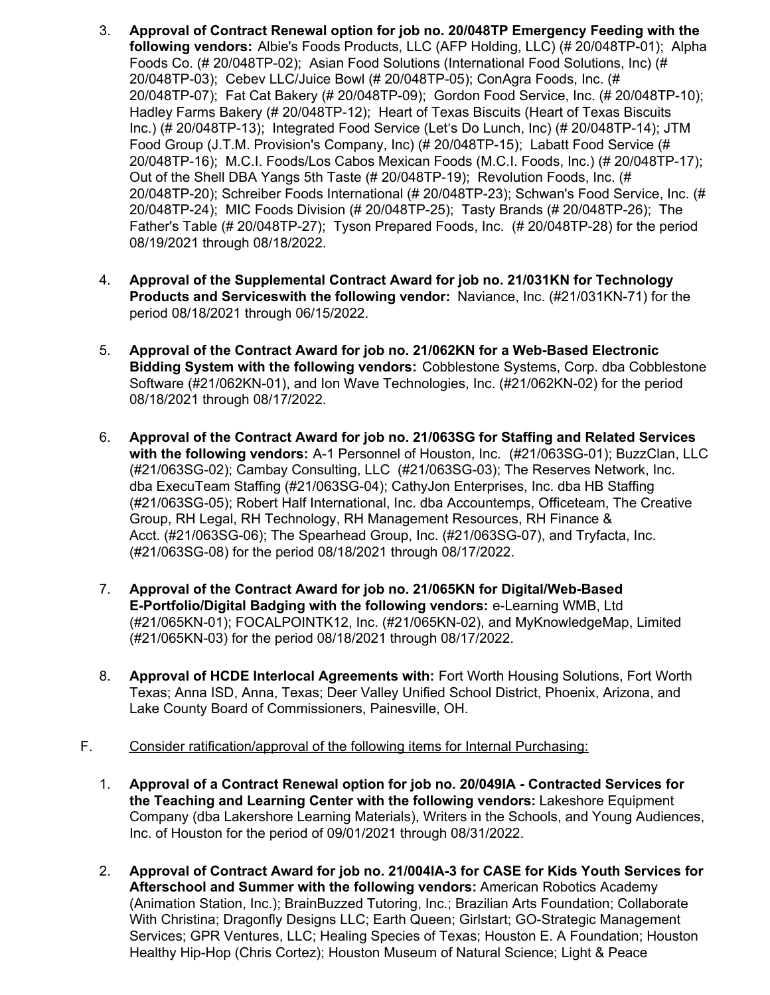- 3. **Approval of Contract Renewal option for job no. 20/048TP Emergency Feeding with the following vendors:** Albie's Foods Products, LLC (AFP Holding, LLC) (# 20/048TP-01); Alpha Foods Co. (# 20/048TP-02); Asian Food Solutions (International Food Solutions, Inc) (# 20/048TP-03); Cebev LLC/Juice Bowl (# 20/048TP-05); ConAgra Foods, Inc. (# 20/048TP-07); Fat Cat Bakery (# 20/048TP-09); Gordon Food Service, Inc. (# 20/048TP-10); Hadley Farms Bakery (# 20/048TP-12); Heart of Texas Biscuits (Heart of Texas Biscuits Inc.) (# 20/048TP-13); Integrated Food Service (Let's Do Lunch, Inc) (# 20/048TP-14); JTM Food Group (J.T.M. Provision's Company, Inc) (# 20/048TP-15); Labatt Food Service (# 20/048TP-16); M.C.I. Foods/Los Cabos Mexican Foods (M.C.I. Foods, Inc.) (# 20/048TP-17); Out of the Shell DBA Yangs 5th Taste (# 20/048TP-19); Revolution Foods, Inc. (# 20/048TP-20); Schreiber Foods International (# 20/048TP-23); Schwan's Food Service, Inc. (# 20/048TP-24); MIC Foods Division (# 20/048TP-25); Tasty Brands (# 20/048TP-26); The Father's Table (# 20/048TP-27); Tyson Prepared Foods, Inc. (# 20/048TP-28) for the period 08/19/2021 through 08/18/2022.
- 4. **Approval of the Supplemental Contract Award for job no. 21/031KN for Technology Products and Services with the following vendor:** Naviance, Inc. (#21/031KN-71) for the period 08/18/2021 through 06/15/2022.
- 5. **Approval of the Contract Award for job no. 21/062KN for a Web-Based Electronic Bidding System with the following vendors:** Cobblestone Systems, Corp. dba Cobblestone Software (#21/062KN-01), and Ion Wave Technologies, Inc. (#21/062KN-02) for the period 08/18/2021 through 08/17/2022.
- 6. **Approval of the Contract Award for job no. 21/063SG for Staffing and Related Services with the following vendors:** A-1 Personnel of Houston, Inc. (#21/063SG-01); BuzzClan, LLC (#21/063SG-02); Cambay Consulting, LLC (#21/063SG-03); The Reserves Network, Inc. dba ExecuTeam Staffing (#21/063SG-04); CathyJon Enterprises, Inc. dba HB Staffing (#21/063SG-05); Robert Half International, Inc. dba Accountemps, Officeteam, The Creative Group, RH Legal, RH Technology, RH Management Resources, RH Finance & Acct. (#21/063SG-06); The Spearhead Group, Inc. (#21/063SG-07), and Tryfacta, Inc. (#21/063SG-08) for the period 08/18/2021 through 08/17/2022.
- 7. **Approval of the Contract Award for job no. 21/065KN for Digital/Web-Based E-Portfolio/Digital Badging with the following vendors:** e-Learning WMB, Ltd (#21/065KN-01); FOCALPOINTK12, Inc. (#21/065KN-02), and MyKnowledgeMap, Limited (#21/065KN-03) for the period 08/18/2021 through 08/17/2022.
- 8. **Approval of HCDE Interlocal Agreements with:** Fort Worth Housing Solutions, Fort Worth Texas; Anna ISD, Anna, Texas; Deer Valley Unified School District, Phoenix, Arizona, and Lake County Board of Commissioners, Painesville, OH.
- F. Consider ratification/approval of the following items for Internal Purchasing:
	- 1. **Approval of a Contract Renewal option for job no. 20/049IA Contracted Services for the Teaching and Learning Center with the following vendors:** Lakeshore Equipment Company (dba Lakershore Learning Materials), Writers in the Schools, and Young Audiences, Inc. of Houston for the period of 09/01/2021 through 08/31/2022.
	- 2. **Approval of Contract Award for job no. 21/004IA-3 for CASE for Kids Youth Services for Afterschool and Summer with the following vendors:** American Robotics Academy (Animation Station, Inc.); BrainBuzzed Tutoring, Inc.; Brazilian Arts Foundation; Collaborate With Christina; Dragonfly Designs LLC; Earth Queen; Girlstart; GO-Strategic Management Services; GPR Ventures, LLC; Healing Species of Texas; Houston E. A Foundation; Houston Healthy Hip-Hop (Chris Cortez); Houston Museum of Natural Science; Light & Peace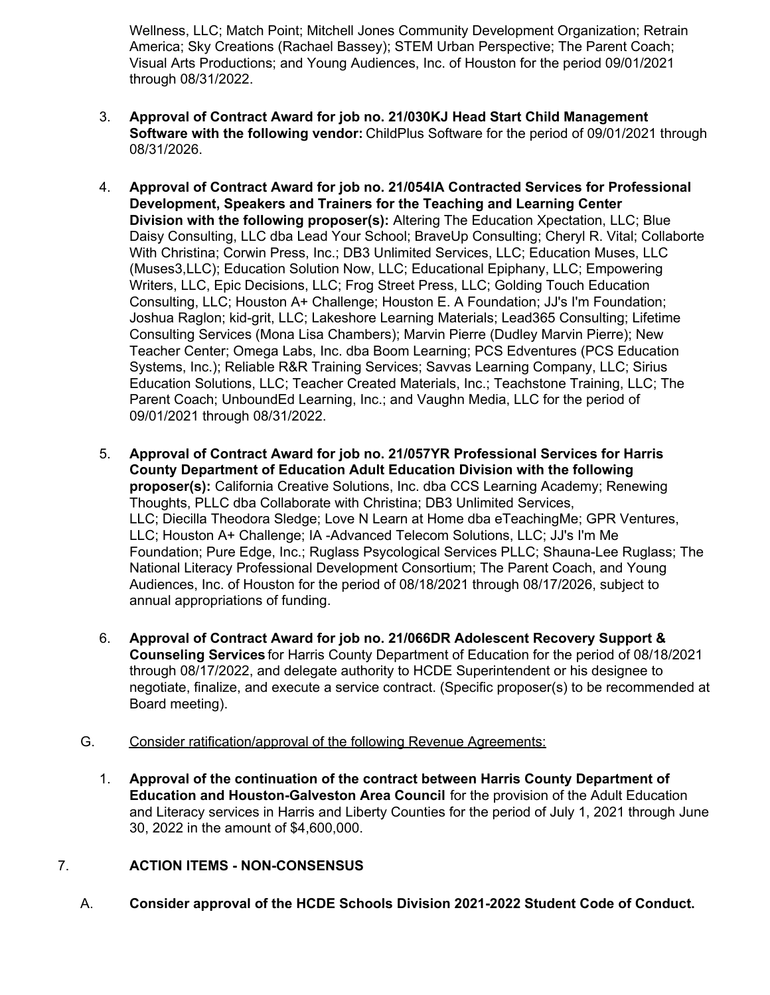Wellness, LLC; Match Point; Mitchell Jones Community Development Organization; Retrain America; Sky Creations (Rachael Bassey); STEM Urban Perspective; The Parent Coach; Visual Arts Productions; and Young Audiences, Inc. of Houston for the period 09/01/2021 through 08/31/2022.

- 3. **Approval of Contract Award for job no. 21/030KJ Head Start Child Management Software with the following vendor:** ChildPlus Software for the period of 09/01/2021 through 08/31/2026.
- 4. **Approval of Contract Award for job no. 21/054IA Contracted Services for Professional Development, Speakers and Trainers for the Teaching and Learning Center Division with the following proposer(s):** Altering The Education Xpectation, LLC; Blue Daisy Consulting, LLC dba Lead Your School; BraveUp Consulting; Cheryl R. Vital; Collaborte With Christina; Corwin Press, Inc.; DB3 Unlimited Services, LLC; Education Muses, LLC (Muses3,LLC); Education Solution Now, LLC; Educational Epiphany, LLC; Empowering Writers, LLC, Epic Decisions, LLC; Frog Street Press, LLC; Golding Touch Education Consulting, LLC; Houston A+ Challenge; Houston E. A Foundation; JJ's I'm Foundation; Joshua Raglon; kid-grit, LLC; Lakeshore Learning Materials; Lead365 Consulting; Lifetime Consulting Services (Mona Lisa Chambers); Marvin Pierre (Dudley Marvin Pierre); New Teacher Center; Omega Labs, Inc. dba Boom Learning; PCS Edventures (PCS Education Systems, Inc.); Reliable R&R Training Services; Savvas Learning Company, LLC; Sirius Education Solutions, LLC; Teacher Created Materials, Inc.; Teachstone Training, LLC; The Parent Coach; UnboundEd Learning, Inc.; and Vaughn Media, LLC for the period of 09/01/2021 through 08/31/2022.
- 5. **Approval of Contract Award for job no. 21/057YR Professional Services for Harris County Department of Education Adult Education Division with the following proposer(s):** California Creative Solutions, Inc. dba CCS Learning Academy; Renewing Thoughts, PLLC dba Collaborate with Christina; DB3 Unlimited Services, LLC; Diecilla Theodora Sledge; Love N Learn at Home dba eTeachingMe; GPR Ventures, LLC; Houston A+ Challenge; IA -Advanced Telecom Solutions, LLC; JJ's I'm Me Foundation; Pure Edge, Inc.; Ruglass Psycological Services PLLC; Shauna-Lee Ruglass; The National Literacy Professional Development Consortium; The Parent Coach, and Young Audiences, Inc. of Houston for the period of 08/18/2021 through 08/17/2026, subject to annual appropriations of funding.
- 6. **Approval of Contract Award for job no. 21/066DR Adolescent Recovery Support & Counseling Services** for Harris County Department of Education for the period of 08/18/2021 through 08/17/2022, and delegate authority to HCDE Superintendent or his designee to negotiate, finalize, and execute a service contract. (Specific proposer(s) to be recommended at Board meeting).
- G. Consider ratification/approval of the following Revenue Agreements:
	- 1. **Approval of the continuation of the contract between Harris County Department of Education and Houston-Galveston Area Council** for the provision of the Adult Education and Literacy services in Harris and Liberty Counties for the period of July 1, 2021 through June 30, 2022 in the amount of \$4,600,000.

# 7. **ACTION ITEMS - NON-CONSENSUS**

A. **Consider approval of the HCDE Schools Division 2021-2022 Student Code of Conduct.**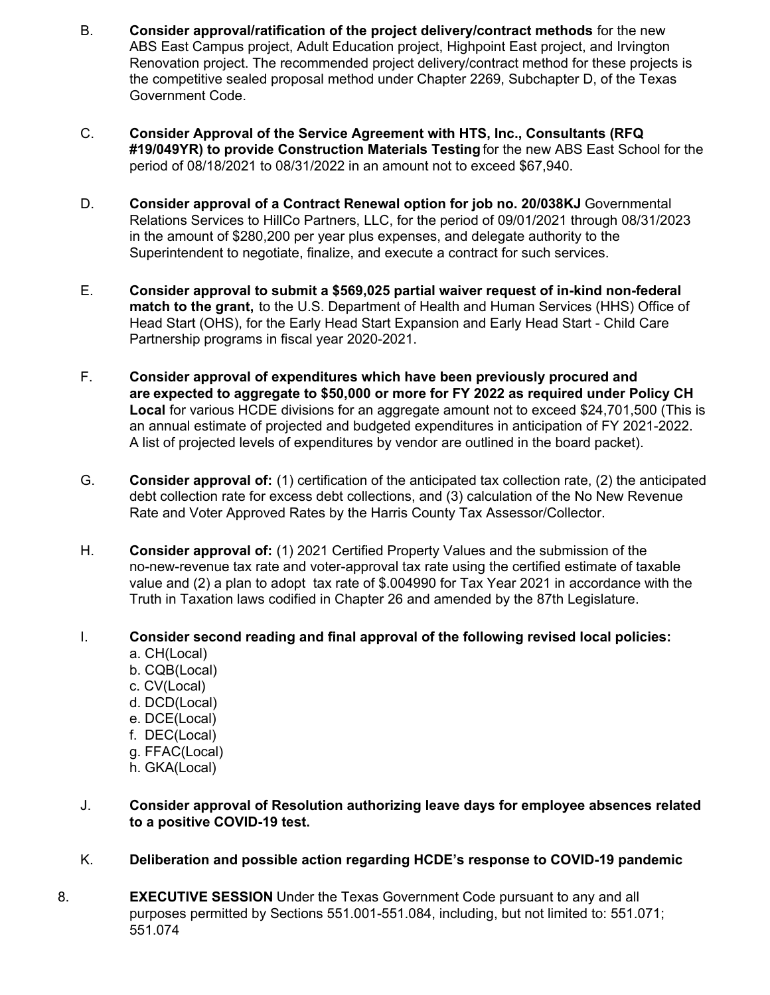- B. **Consider approval/ratification of the project delivery/contract methods** for the new ABS East Campus project, Adult Education project, Highpoint East project, and Irvington Renovation project. The recommended project delivery/contract method for these projects is the competitive sealed proposal method under Chapter 2269, Subchapter D, of the Texas Government Code.
- C. **Consider Approval of the Service Agreement with HTS, Inc., Consultants (RFQ #19/049YR) to provide Construction Materials Testing** for the new ABS East School for the period of 08/18/2021 to 08/31/2022 in an amount not to exceed \$67,940.
- D. **Consider approval of a Contract Renewal option for job no. 20/038KJ** Governmental Relations Services to HillCo Partners, LLC, for the period of 09/01/2021 through 08/31/2023 in the amount of \$280,200 per year plus expenses, and delegate authority to the Superintendent to negotiate, finalize, and execute a contract for such services.
- E. **Consider approval to submit a \$569,025 partial waiver request of in-kind non-federal match to the grant,** to the U.S. Department of Health and Human Services (HHS) Office of Head Start (OHS), for the Early Head Start Expansion and Early Head Start - Child Care Partnership programs in fiscal year 2020-2021.
- F. **Consider approval of expenditures which have been previously procured and are expected to aggregate to \$50,000 or more for FY 2022 as required under Policy CH Local** for various HCDE divisions for an aggregate amount not to exceed \$24,701,500 (This is an annual estimate of projected and budgeted expenditures in anticipation of FY 2021-2022. A list of projected levels of expenditures by vendor are outlined in the board packet).
- G. **Consider approval of:** (1) certification of the anticipated tax collection rate, (2) the anticipated debt collection rate for excess debt collections, and (3) calculation of the No New Revenue Rate and Voter Approved Rates by the Harris County Tax Assessor/Collector.
- H. **Consider approval of:** (1) 2021 Certified Property Values and the submission of the no-new-revenue tax rate and voter-approval tax rate using the certified estimate of taxable value and (2) a plan to adopt tax rate of \$.004990 for Tax Year 2021 in accordance with the Truth in Taxation laws codified in Chapter 26 and amended by the 87th Legislature.

# I. **Consider second reading and final approval of the following revised local policies:**

- a. CH(Local)
- b. CQB(Local)
- c. CV(Local)
- d. DCD(Local)
- e. DCE(Local)
- f. DEC(Local)
- g. FFAC(Local)
- h. GKA(Local)
- J. **Consider approval of Resolution authorizing leave days for employee absences related to a positive COVID-19 test.**
- K. **Deliberation and possible action regarding HCDE's response to COVID-19 pandemic**
- 8. **EXECUTIVE SESSION** Under the Texas Government Code pursuant to any and all purposes permitted by Sections 551.001-551.084, including, but not limited to: 551.071; 551.074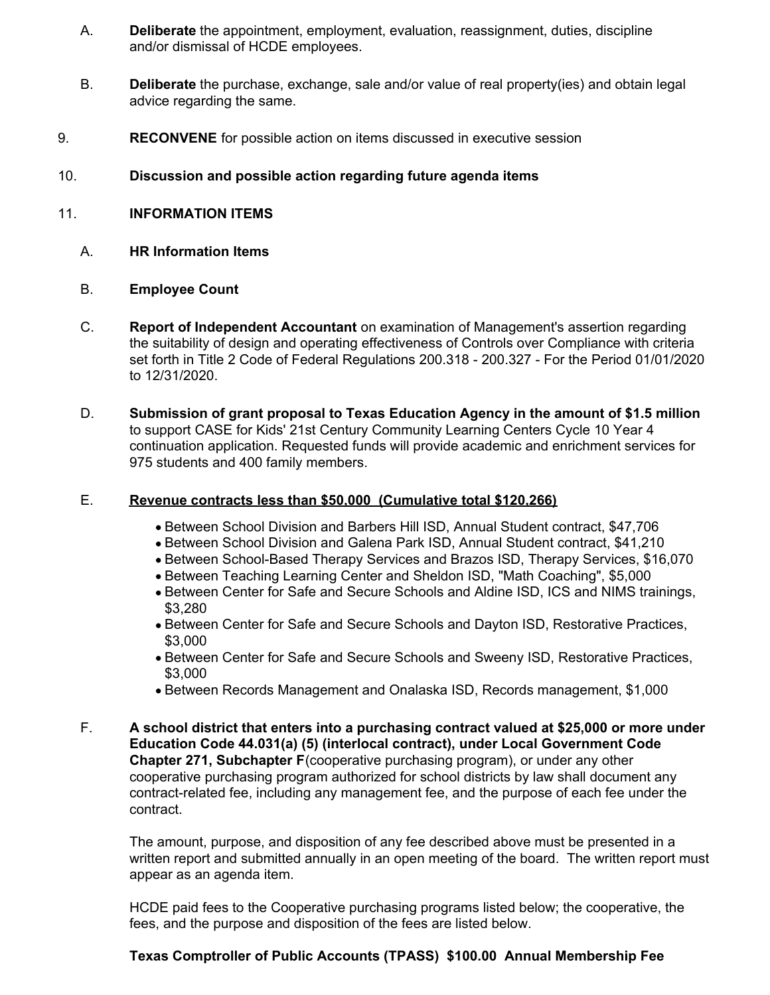- A. **Deliberate** the appointment, employment, evaluation, reassignment, duties, discipline and/or dismissal of HCDE employees.
- B. **Deliberate** the purchase, exchange, sale and/or value of real property(ies) and obtain legal advice regarding the same.
- 9. **RECONVENE** for possible action on items discussed in executive session
- 10. **Discussion and possible action regarding future agenda items**
- 11. **INFORMATION ITEMS**
	- A. **HR Information Items**
	- B. **Employee Count**
	- C. **Report of Independent Accountant** on examination of Management's assertion regarding the suitability of design and operating effectiveness of Controls over Compliance with criteria set forth in Title 2 Code of Federal Regulations 200.318 - 200.327 - For the Period 01/01/2020 to 12/31/2020.
	- D. **Submission of grant proposal to Texas Education Agency in the amount of \$1.5 million** to support CASE for Kids' 21st Century Community Learning Centers Cycle 10 Year 4 continuation application. Requested funds will provide academic and enrichment services for 975 students and 400 family members.

#### E. **Revenue contracts less than \$50,000 (Cumulative total \$120,266)**

- Between School Division and Barbers Hill ISD, Annual Student contract, \$47,706
- Between School Division and Galena Park ISD, Annual Student contract, \$41,210
- Between School-Based Therapy Services and Brazos ISD, Therapy Services, \$16,070
- Between Teaching Learning Center and Sheldon ISD, "Math Coaching", \$5,000
- Between Center for Safe and Secure Schools and Aldine ISD, ICS and NIMS trainings, \$3,280
- Between Center for Safe and Secure Schools and Dayton ISD, Restorative Practices, \$3,000
- Between Center for Safe and Secure Schools and Sweeny ISD, Restorative Practices, \$3,000
- Between Records Management and Onalaska ISD, Records management, \$1,000
- F. **A school district that enters into a purchasing contract valued at \$25,000 or more under Education Code 44.031(a) (5) (interlocal contract), under Local Government Code Chapter 271, Subchapter F**(cooperative purchasing program), or under any other cooperative purchasing program authorized for school districts by law shall document any contract-related fee, including any management fee, and the purpose of each fee under the contract.

The amount, purpose, and disposition of any fee described above must be presented in a written report and submitted annually in an open meeting of the board. The written report must appear as an agenda item.

HCDE paid fees to the Cooperative purchasing programs listed below; the cooperative, the fees, and the purpose and disposition of the fees are listed below.

#### **Texas Comptroller of Public Accounts (TPASS) \$100.00 Annual Membership Fee**